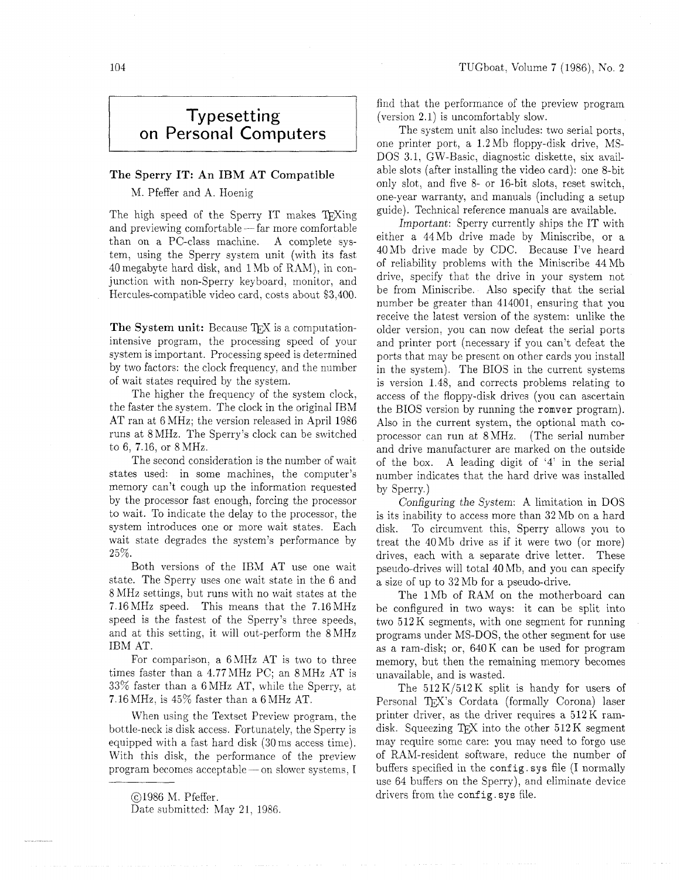## **Typesetting on Personal Computers**

## The Sperry IT: An IBM AT Compatible

## M. Pfeffer and A. Hoenig

The high speed of the Sperry IT makes T<sub>E</sub>Xing<br>and previewing comfortable -- far more comfortable<br>than an a BC class masking  $\Lambda$  complete me than on a PC-class machine. A complete system, using the Sperry system unit (with its fast  $40$  megabyte hard disk, and  $1 \text{ Mb}$  of RAM), in conjunction with non-Sperry keyboard, monitor, and Hercules-compatible video card. costs about \$3,400.

The System unit: Because TFX is a computationintensive program, the processing speed of your system is important. Processing speed is determined by two factors: the clock frequency, and the number of wait states required by the system.

The higher the frequency of the system clock, the faster the system. The clock in the original IBM AT ran at 6 MHz; the version released in April 1986 runs at 8 MHz. The Sperry's clock can be switched to 6, 7.16, or 8 MHz.

The second consideration is the number of wait states used: in some machines, the computer's memory can't cough up the information requested by the processor fast enough, forcing the processor to wait. To indicate the delay to the processor, the system introduces one or more wait states. Each wait state degrades the system's performance by 25%.

Both versions of the IBM AT use one wait state. The Sperry uses one wait state in the 6 and 8 MHz settings, but runs with no wait states at the 7.16MHz speed. This means that the 7.16MHz speed is the fastest of the Sperry's three speeds, and at this setting, it will out-perform the 8 MHz IBM AT.

For comparison, a  $6$  MHz AT is two to three times faster than a 4.77MHz PC; an 8MHz AT is 33% faster than a 6MHz AT, while the Sperry, at 7.16 MHz, is 45% faster than a 6 MHz AT.

When using the Textset Preview program, the bottle-neck is disk access. Fortunately, the Sperry is equipped with a fast hard disk (30ms access time). With this disk, the performance of the preview program becomes acceptable- on slower systems, I find that the performance of the preview program (version 2.1) is uncomfortably slow.

The system unit also includes: two serial ports, one printer port, a 1.2Mb floppy-disk drive, MS-DOS 3.1, GW-Basic, diagnostic diskette, six available slots (after installing the video card): one 8-bit only slot, and five 8- or 16-bit slots, reset switch, one-year warranty, and manuals (including a setup guide). Technical reference manuals are available.

Important: Sperry currently ships the IT with either a 44Mb drive made by Miniscribe, or a 40Mb drive made by CDC. Because I've heard of reliability problems with the Miniscribe 44Mb drive, specify that the drive in your system not be from Miniscribe. Also specify that the serial number be greater than 414001, ensuring that you receive the latest version of the system: unlike the older version, you can now defeat the serial ports and printer port (necessary if you can't defeat the ports that may be present on other cards you install in the system). The BIOS in the current systems is version 1.48, and corrects problems relating to access of the floppy-disk drives (you can ascertain the BIOS version by running the romver program). Also in the current system, the optional math coprocessor can run at 8MHz. (The serial number and drive manufacturer are marked on the outside of the box. A leading digit of '4' in the serial number indicates that the hard drive was installed by Sperry.)

Configuring the System: A limitation in DOS is its inability to access more than 32 Mb on a hard disk. To circumvent this, Sperry allows you to treat the 40Mb drive as if it were two (or more) drives, each with a separate drive letter. These pseudo-drives will total 40Mb, and you can specify a size of up to 32 Mb for a pseudo-drive.

The 1 Mb of RAM on the motherboard can be configured in two ways: it can be split into two 512K segments, with one segment for running programs under MS-DOS, the other segment for use as a ram-disk; or, 640K can be used for program memory, but then the remaining memory becomes unavailable, and is wasted.

The  $512K/512K$  split is handy for users of Personal TFX's Cordata (formally Corona) laser printer driver, as the driver requires a 512 K ramdisk. Squeezing  $T_F X$  into the other  $512 K$  segment may require some care: you may need to forgo use of RAM-resident software, reduce the number of buffers specified in the config. sys file  $(I$  normally use 64 buffers on the Sperry), and eliminate device drivers from the config. sys file.

<sup>01986</sup> M. Pfeffer.

Date submitted: May 21, 1986.